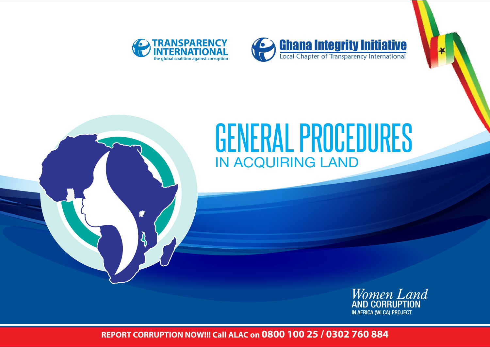

ŵ



# IN ACQUIRING LAND GENERAL PROCEDURES



**REPORT CORRUPTION NOW!!! Call ALAC on 0800 100 25 / 0302 760 884**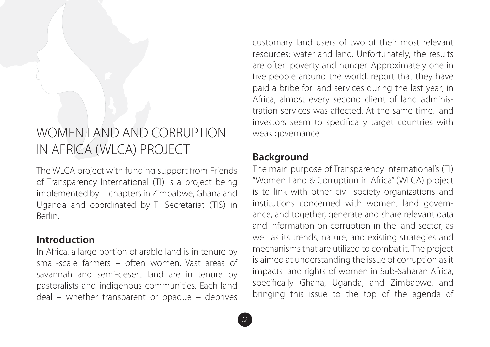# WOMEN LAND AND CORRUPTION IN AFRICA (WLCA) PROJECT

The WLCA project with funding support from Friends of Transparency International (TI) is a project being implemented by TI chapters in Zimbabwe, Ghana and Uganda and coordinated by TI Secretariat (TIS) in Berlin.

### **Introduction**

In Africa, a large portion of arable land is in tenure by small-scale farmers – often women. Vast areas of savannah and semi-desert land are in tenure by pastoralists and indigenous communities. Each land deal – whether transparent or opaque – deprives

customary land users of two of their most relevant resources: water and land. Unfortunately, the results are often poverty and hunger. Approximately one in five people around the world, report that they have paid a bribe for land services during the last year; in Africa, almost every second client of land administration services was affected. At the same time, land investors seem to specifically target countries with weak governance.

# **Background**

The main purpose of Transparency International's (TI) "Women Land & Corruption in Africa" (WLCA) project is to link with other civil society organizations and institutions concerned with women, land governance, and together, generate and share relevant data and information on corruption in the land sector, as well as its trends, nature, and existing strategies and mechanisms that are utilized to combat it. The project is aimed at understanding the issue of corruption as it impacts land rights of women in Sub-Saharan Africa, specifically Ghana, Uganda, and Zimbabwe, and bringing this issue to the top of the agenda of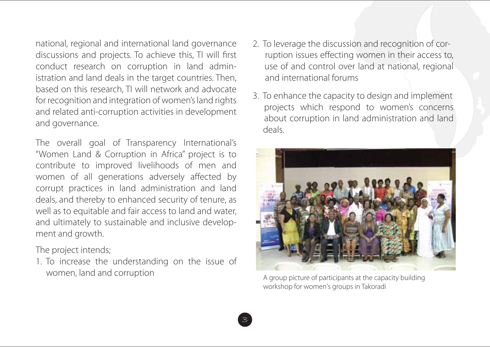national, regional and international land governance discussions and projects. To achieve this, TI will first conduct research on corruption in land administration and land deals in the target countries. Then, based on this research, TI will network and advocate for recognition and integration of women's land rights and related anti-corruption activities in development and governance.

The overall goal of Transparency International's "Women Land & Corruption in Africa" project is to contribute to improved livelihoods of men and women of all generations adversely affected by corrupt practices in land administration and land deals, and thereby to enhanced security of tenure, as well as to equitable and fair access to land and water, and ultimately to sustainable and inclusive development and growth.

The project intends;

1. To increase the understanding on the issue of women, land and corruption

- 2. To leverage the discussion and recognition of cor ruption issues effecting women in their access to, use of and control over land at national, regional and international forums
- 3. To enhance the capacity to design and implement projects which respond to women's concerns about corruption in land administration and land deals.



A group picture of participants at the capacity building workshop for women's groups in Takoradi

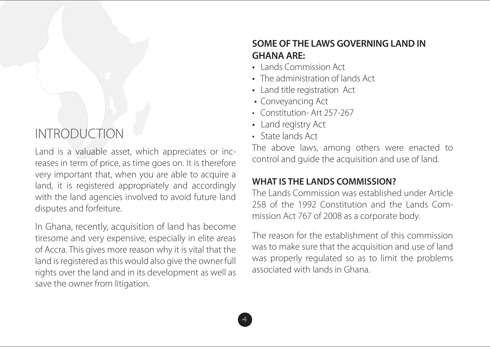# INTRODUCTION

Land is a valuable asset, which appreciates or increases in term of price, as time goes on. It is therefore very important that, when you are able to acquire a land, it is registered appropriately and accordingly with the land agencies involved to avoid future land disputes and forfeiture.

In Ghana, recently, acquisition of land has become tiresome and very expensive, especially in elite areas of Accra. This gives more reason why it is vital that the land is registered as this would also give the owner full rights over the land and in its development as well as save the owner from litigation.

# **SOME OF THE LAWS GOVERNING LAND IN GHANA ARE:**

- Lands Commission Act
- The administration of lands Act
- Land title registration Act
- Conveyancing Act
- Constitution-Art 257-267
- Land registry Act
- State lands Act

4

The above laws, among others were enacted to control and guide the acquisition and use of land.

# **WHAT IS THE LANDS COMMISSION?**

The Lands Commission was established under Article 258 of the 1992 Constitution and the Lands Commission Act 767 of 2008 as a corporate body.

The reason for the establishment of this commission was to make sure that the acquisition and use of land was properly regulated so as to limit the problems associated with lands in Ghana.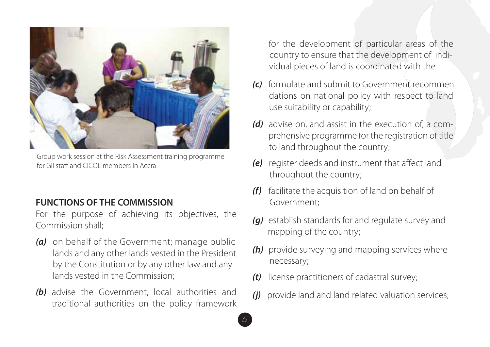

Group work session at the Risk Assessment training programme for GII staff and CICOL members in Accra

#### **FUNCTIONS OF THE COMMISSION**

For the purpose of achieving its objectives, the Commission shall;

- *(a)* on behalf of the Government; manage public lands and any other lands vested in the President by the Constitution or by any other law and any lands vested in the Commission:
- *(b)* advise the Government, local authorities and traditional authorities on the policy framework

for the development of particular areas of the country to ensure that the development of individual pieces of land is coordinated with the

- *(c)* formulate and submit to Government recommen dations on national policy with respect to land use suitability or capability;
- *(d)* advise on, and assist in the execution of, a com prehensive programme for the registration of title to land throughout the country;
- *(e)* register deeds and instrument that affect land throughout the country;
- *(f)* facilitate the acquisition of land on behalf of Government;
- *(g)* establish standards for and regulate survey and mapping of the country;
- *(h)* provide surveying and mapping services where necessary;
- *(t)* license practitioners of cadastral survey;
- *(j)* provide land and land related valuation services;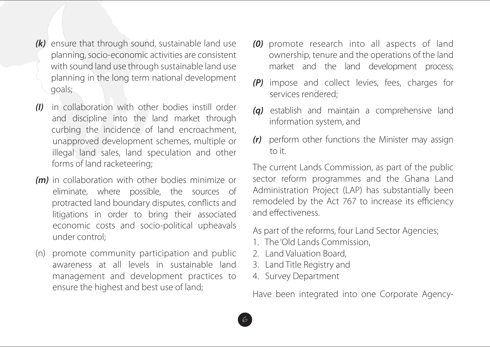- *(k)* ensure that through sound, sustainable land use planning, socio-economic activities are consistent with sound land use through sustainable land use planning in the long term national development goals;
- *(I)* in collaboration with other bodies instill order and discipline into the land market through curbing the incidence of land encroachment, unapproved development schemes, multiple or illegal land sales, land speculation and other forms of land racketeering;
- *(m)* in collaboration with other bodies minimize or eliminate, where possible, the sources of protracted land boundary disputes, conflicts and litigations in order to bring their associated economic costs and socio-political upheavals under control:
- (n) promote community participation and public awareness at all levels in sustainable land management and development practices to ensure the highest and best use of land;
- *(0)* promote research into all aspects of land ownership, tenure and the operations of the land market and the land development process;
- *(P)* impose and collect levies, fees, charges for services rendered;
- *(q)* establish and maintain a comprehensive land information system, and
- *(r)* perform other functions the Minister may assign to it.

The current Lands Commission, as part of the public sector reform programmes and the Ghana Land Administration Project (LAP) has substantially been remodeled by the Act 767 to increase its efficiency and effectiveness.

As part of the reforms, four Land Sector Agencies;

- 1. The 'Old Lands Commission,
- 2. Land Valuation Board,
- 3. Land Title Registry and
- 4. Survey Department

Have been integrated into one Corporate Agency-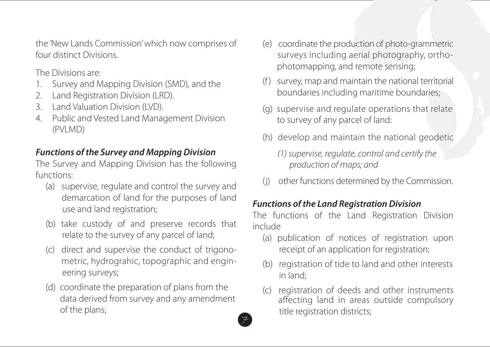the 'New Lands Commission' which now comprises of four distinct Divisions.

The Divisions are:

- 1. Survey and Mapping Division (SMD), and the
- 2. Land Registration Division (LRD).
- 3. Land Valuation Division (LVD).
- 4. Public and Vested Land Management Division (PVLMD)

## *Functions of the Survey and Mapping Division*

The Survey and Mapping Division has the following functions:

- (a) supervise, regulate and control the survey and demarcation of land for the purposes of land use and land registration;
- (b) take custody of and preserve records that relate to the survey of any parcel of land;
- (c) direct and supervise the conduct of trigono metric, hydrograhic, topographic and engin eering surveys;
- (d) coordinate the preparation of plans from the data derived from survey and any amendment of the plans;
- (e) coordinate the production of photo-grammetric surveys including aerial photography, ortho photomapping, and remote sensing;
- (f ) survey, map and maintain the national territorial boundaries including maritime boundaries;
- (g) supervise and regulate operations that relate to survey of any parcel of land:
- (h) develop and maintain the national geodetic
	- *(1) supervise, regulate, control and certify the production of maps; and*
- (j) other functions determined by the Commission.

# *Functions of the Land Registration Division*

The functions of the Land Registration Division include

- (a) publication of notices of registration upon receipt of an application for registration;
- (b) registration of tide to land and other interests in land;
- (c) registration of deeds and other instruments affecting land in areas outside compulsory title registration districts;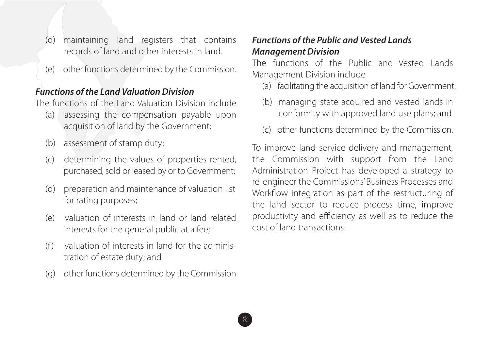- (d) maintaining land registers that contains records of land and other interests in land.
- (e) other functions determined by the Commission.

#### *Functions of the Land Valuation Division*

The functions of the Land Valuation Division include

- (a) assessing the compensation payable upon acquisition of land by the Government;
- (b) assessment of stamp duty;
- (c) determining the values of properties rented, purchased, sold or leased by or to Government;
- (d) preparation and maintenance of valuation list for rating purposes;
- (e) valuation of interests in land or land related interests for the general public at a fee;
- $(f)$  valuation of interests in land for the administration of estate duty; and
- (g) other functions determined by the Commission

8

#### *Functions of the Public and Vested Lands Management Division*

The functions of the Public and Vested Lands Management Division include

- (a) facilitating the acquisition of land for Government;
- (b) managing state acquired and vested lands in conformity with approved land use plans; and
- (c) other functions determined by the Commission.

To improve land service delivery and management, the Commission with support from the Land Administration Project has developed a strategy to re-engineer the Commissions' Business Processes and Workflow integration as part of the restructuring of the land sector to reduce process time, improve productivity and efficiency as well as to reduce the cost of land transactions.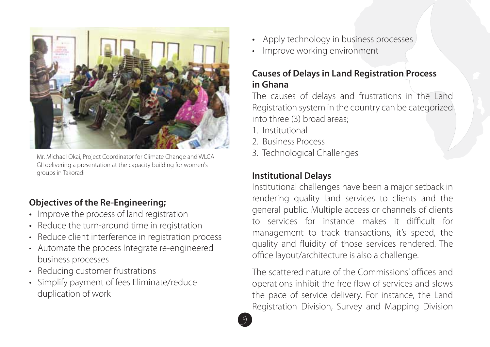

Mr. Michael Okai, Project Coordinator for Climate Change and WLCA - GII delivering a presentation at the capacity building for women's groups in Takoradi

# **Objectives of the Re-Engineering;**

- Improve the process of land registration
- Reduce the turn-around time in registration
- Reduce client interference in registration process
- Automate the process Integrate re-engineered business processes
- Reducing customer frustrations
- Simplify payment of fees Eliminate/reduce duplication of work
- Apply technology in business processes
- Improve working environment

### **Causes of Delays in Land Registration Process in Ghana**

The causes of delays and frustrations in the Land Registration system in the country can be categorized into three (3) broad areas;

1. Institutional

9

- 2. Business Process
- 3. Technological Challenges

# **Institutional Delays**

Institutional challenges have been a major setback in rendering quality land services to clients and the general public. Multiple access or channels of clients to services for instance makes it difficult for management to track transactions, it's speed, the quality and fluidity of those services rendered. The office layout/architecture is also a challenge.

The scattered nature of the Commissions' offices and operations inhibit the free flow of services and slows the pace of service delivery. For instance, the Land Registration Division, Survey and Mapping Division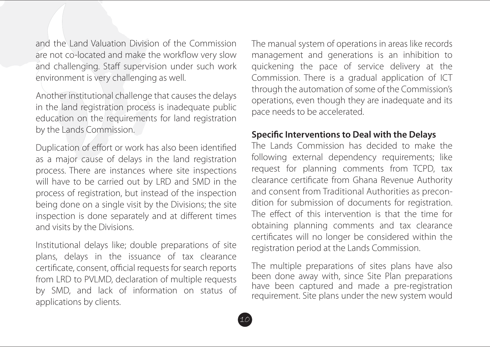and the Land Valuation Division of the Commission are not co-located and make the workflow very slow and challenging. Staff supervision under such work environment is very challenging as well.

Another institutional challenge that causes the delays in the land registration process is inadequate public education on the requirements for land registration by the Lands Commission.

Duplication of effort or work has also been identified as a major cause of delays in the land registration process. There are instances where site inspections will have to be carried out by LRD and SMD in the process of registration, but instead of the inspection being done on a single visit by the Divisions; the site inspection is done separately and at different times and visits by the Divisions.

Institutional delays like; double preparations of site plans, delays in the issuance of tax clearance certificate, consent, official requests for search reports from LRD to PVLMD, declaration of multiple requests by SMD, and lack of information on status of applications by clients.

The manual system of operations in areas like records management and generations is an inhibition to quickening the pace of service delivery at the Commission. There is a gradual application of ICT through the automation of some of the Commission's operations, even though they are inadequate and its pace needs to be accelerated.

#### **Specific Interventions to Deal with the Delays**

The Lands Commission has decided to make the following external dependency requirements; like request for planning comments from TCPD, tax clearance certificate from Ghana Revenue Authority and consent from Traditional Authorities as precondition for submission of documents for registration. The effect of this intervention is that the time for obtaining planning comments and tax clearance certificates will no longer be considered within the registration period at the Lands Commission.

The multiple preparations of sites plans have also been done away with, since Site Plan preparations have been captured and made a pre-registration requirement. Site plans under the new system would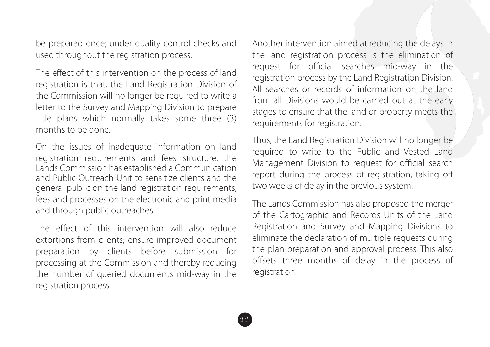be prepared once; under quality control checks and used throughout the registration process.

The effect of this intervention on the process of land registration is that, the Land Registration Division of the Commission will no longer be required to write a letter to the Survey and Mapping Division to prepare Title plans which normally takes some three (3) months to be done.

On the issues of inadequate information on land registration requirements and fees structure, the Lands Commission has established a Communication and Public Outreach Unit to sensitize clients and the general public on the land registration requirements, fees and processes on the electronic and print media and through public outreaches.

The effect of this intervention will also reduce extortions from clients; ensure improved document preparation by clients before submission for processing at the Commission and thereby reducing the number of queried documents mid-way in the registration process.

Another intervention aimed at reducing the delays in the land registration process is the elimination of request for official searches mid-way in the registration process by the Land Registration Division. All searches or records of information on the land from all Divisions would be carried out at the early stages to ensure that the land or property meets the requirements for registration.

Thus, the Land Registration Division will no longer be required to write to the Public and Vested Land Management Division to request for official search report during the process of registration, taking o two weeks of delay in the previous system.

The Lands Commission has also proposed the merger of the Cartographic and Records Units of the Land Registration and Survey and Mapping Divisions to eliminate the declaration of multiple requests during the plan preparation and approval process. This also offsets three months of delay in the process of registration.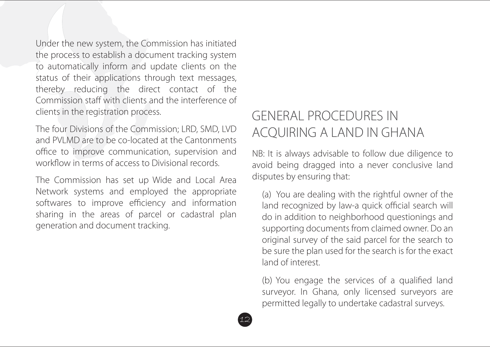Under the new system, the Commission has initiated the process to establish a document tracking system to automatically inform and update clients on the status of their applications through text messages, thereby reducing the direct contact of the Commission staff with clients and the interference of clients in the registration process.

The four Divisions of the Commission; LRD, SMD, LVD and PVLMD are to be co-located at the Cantonments office to improve communication, supervision and workflow in terms of access to Divisional records.

The Commission has set up Wide and Local Area Network systems and employed the appropriate softwares to improve efficiency and information sharing in the areas of parcel or cadastral plan generation and document tracking.

# GENERAL PROCEDURES IN ACQUIRING A LAND IN GHANA

NB: It is always advisable to follow due diligence to avoid being dragged into a never conclusive land disputes by ensuring that:

(a) You are dealing with the rightful owner of the land recognized by law-a quick official search will do in addition to neighborhood questionings and supporting documents from claimed owner. Do an original survey of the said parcel for the search to be sure the plan used for the search is for the exact land of interest.

(b) You engage the services of a qualified land surveyor. In Ghana, only licensed surveyors are permitted legally to undertake cadastral surveys.

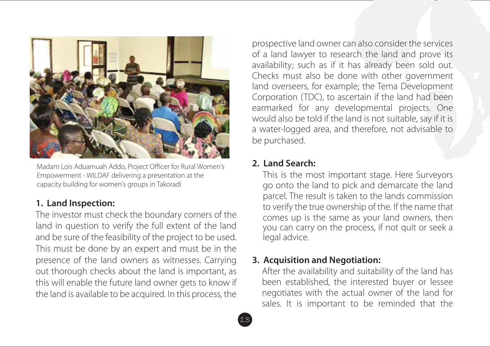

Madam Lois Aduamuah Addo, Project Officer for Rural Women's Empowerment - WiLDAF delivering a presentation at the capacity building for women's groups in Takoradi

#### **1. Land Inspection:**

The investor must check the boundary corners of the land in question to verify the full extent of the land and be sure of the feasibility of the project to be used. This must be done by an expert and must be in the presence of the land owners as witnesses. Carrying out thorough checks about the land is important, as this will enable the future land owner gets to know if the land is available to be acquired. In this process, the

prospective land owner can also consider the services of a land lawyer to research the land and prove its availability; such as if it has already been sold out. Checks must also be done with other government land overseers, for example; the Tema Development Corporation (TDC), to ascertain if the land had been earmarked for any developmental projects. One would also be told if the land is not suitable, say if it is a water-logged area, and therefore, not advisable to be purchased.

#### **2. Land Search:**

This is the most important stage. Here Surveyors go onto the land to pick and demarcate the land parcel. The result is taken to the lands commission to verify the true ownership of the. If the name that comes up is the same as your land owners, then you can carry on the process, if not quit or seek a legal advice.

#### **3. Acquisition and Negotiation:**

After the availability and suitability of the land has been established, the interested buyer or lessee negotiates with the actual owner of the land for sales. It is important to be reminded that the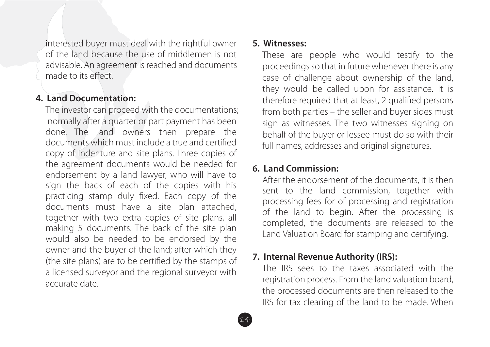interested buyer must deal with the rightful owner of the land because the use of middlemen is not advisable. An agreement is reached and documents made to its effect.

#### **4. Land Documentation:**

The investor can proceed with the documentations; normally after a quarter or part payment has been done. The land owners then prepare the documents which must include a true and certified copy of Indenture and site plans. Three copies of the agreement documents would be needed for endorsement by a land lawyer, who will have to sign the back of each of the copies with his practicing stamp duly fixed. Each copy of the documents must have a site plan attached, together with two extra copies of site plans, all making 5 documents. The back of the site plan would also be needed to be endorsed by the owner and the buyer of the land; after which they (the site plans) are to be certified by the stamps of a licensed surveyor and the regional surveyor with accurate date.

#### **5. Witnesses:**

These are people who would testify to the proceedings so that in future whenever there is any case of challenge about ownership of the land, they would be called upon for assistance. It is therefore required that at least, 2 qualified persons from both parties – the seller and buyer sides must sign as witnesses. The two witnesses signing on behalf of the buyer or lessee must do so with their full names, addresses and original signatures.

### **6. Land Commission:**

After the endorsement of the documents, it is then sent to the land commission, together with processing fees for of processing and registration of the land to begin. After the processing is completed, the documents are released to the Land Valuation Board for stamping and certifying.

# **7. Internal Revenue Authority (IRS):**

The IRS sees to the taxes associated with the registration process. From the land valuation board, the processed documents are then released to the IRS for tax clearing of the land to be made. When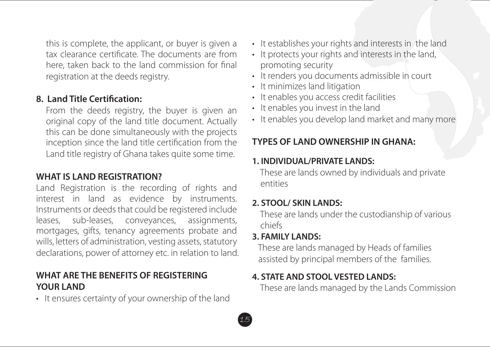this is complete, the applicant, or buyer is given a tax clearance certificate. The documents are from here, taken back to the land commission for final registration at the deeds registry.

#### **8. Land Title Certification:**

From the deeds registry, the buyer is given an original copy of the land title document. Actually this can be done simultaneously with the projects inception since the land title certification from the Land title registry of Ghana takes quite some time.

# **WHAT IS LAND REGISTRATION?**

Land Registration is the recording of rights and interest in land as evidence by instruments. Instruments or deeds that could be registered include leases, sub-leases, conveyances, assignments, mortgages, gifts, tenancy agreements probate and wills, letters of administration, vesting assets, statutory declarations, power of attorney etc. in relation to land.

#### **WHAT ARE THE BENEFITS OF REGISTERING YOUR LAND**

• It ensures certainty of your ownership of the land

- It establishes your rights and interests in the land
- It protects your rights and interests in the land, promoting security
- It renders you documents admissible in court
- It minimizes land litigation
- It enables you access credit facilities
- It enables you invest in the land
- It enables you develop land market and many more

### **TYPES OF LAND OWNERSHIP IN GHANA:**

#### **1. INDIVIDUAL/PRIVATE LANDS:**

 These are lands owned by individuals and private entities

#### **2. STOOL/ SKIN LANDS:**

 These are lands under the custodianship of various chiefs

#### **3. FAMILY LANDS:**

 These are lands managed by Heads of families assisted by principal members of the families.

#### **4. STATE AND STOOL VESTED LANDS:**

These are lands managed by the Lands Commission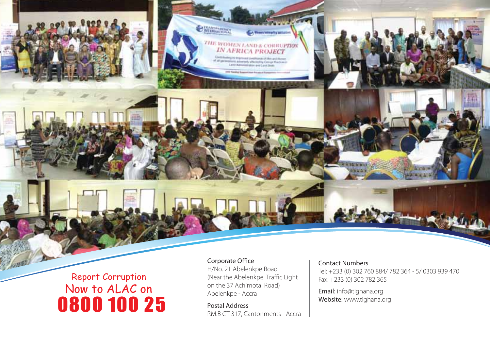# Report Corruption 0800 100 25 Now to ALAC on

Corporate Office H/No. 21 Abelenkpe Road (Near the Abelenkpe Traffic Light on the 37 Achimota Road) Abelenkpe - Accra

**Olympical** 

THE WOMEN LAND & COREUPTION<br>IN AFRICA PROJECT Fig. 81 Westmann Lived Forces of Manuscriptures.<br>Maria Administrative Company Producers:<br>Land Administrative and Land Dealer

Postal Address P.M.B CT 317, Cantonments - Accra

#### Contact Numbers

Tel: +233 (0) 302 760 884/ 782 364 - 5/ 0303 939 470 Fax: +233 (0) 302 782 365

Email: info@tighana.org Website: www.tighana.org